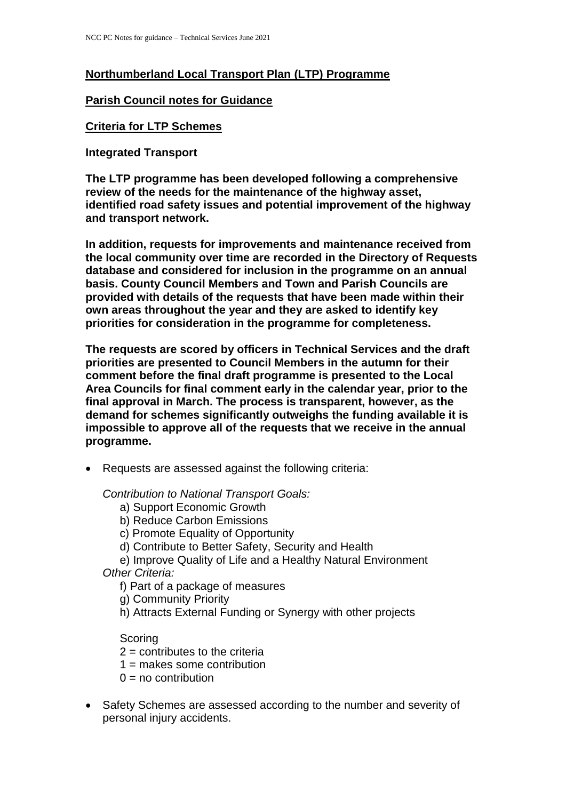# **Northumberland Local Transport Plan (LTP) Programme**

### **Parish Council notes for Guidance**

#### **Criteria for LTP Schemes**

**Integrated Transport**

**The LTP programme has been developed following a comprehensive review of the needs for the maintenance of the highway asset, identified road safety issues and potential improvement of the highway and transport network.** 

**In addition, requests for improvements and maintenance received from the local community over time are recorded in the Directory of Requests database and considered for inclusion in the programme on an annual basis. County Council Members and Town and Parish Councils are provided with details of the requests that have been made within their own areas throughout the year and they are asked to identify key priorities for consideration in the programme for completeness.**

**The requests are scored by officers in Technical Services and the draft priorities are presented to Council Members in the autumn for their comment before the final draft programme is presented to the Local Area Councils for final comment early in the calendar year, prior to the final approval in March. The process is transparent, however, as the demand for schemes significantly outweighs the funding available it is impossible to approve all of the requests that we receive in the annual programme.**

Requests are assessed against the following criteria:

*Contribution to National Transport Goals:*

- a) Support Economic Growth
- b) Reduce Carbon Emissions
- c) Promote Equality of Opportunity
- d) Contribute to Better Safety, Security and Health

e) Improve Quality of Life and a Healthy Natural Environment *Other Criteria:* 

f) Part of a package of measures

g) Community Priority

h) Attracts External Funding or Synergy with other projects

**Scoring** 

- $2 =$  contributes to the criteria
- $1 =$  makes some contribution
- $0 = no$  contribution
- Safety Schemes are assessed according to the number and severity of personal injury accidents.